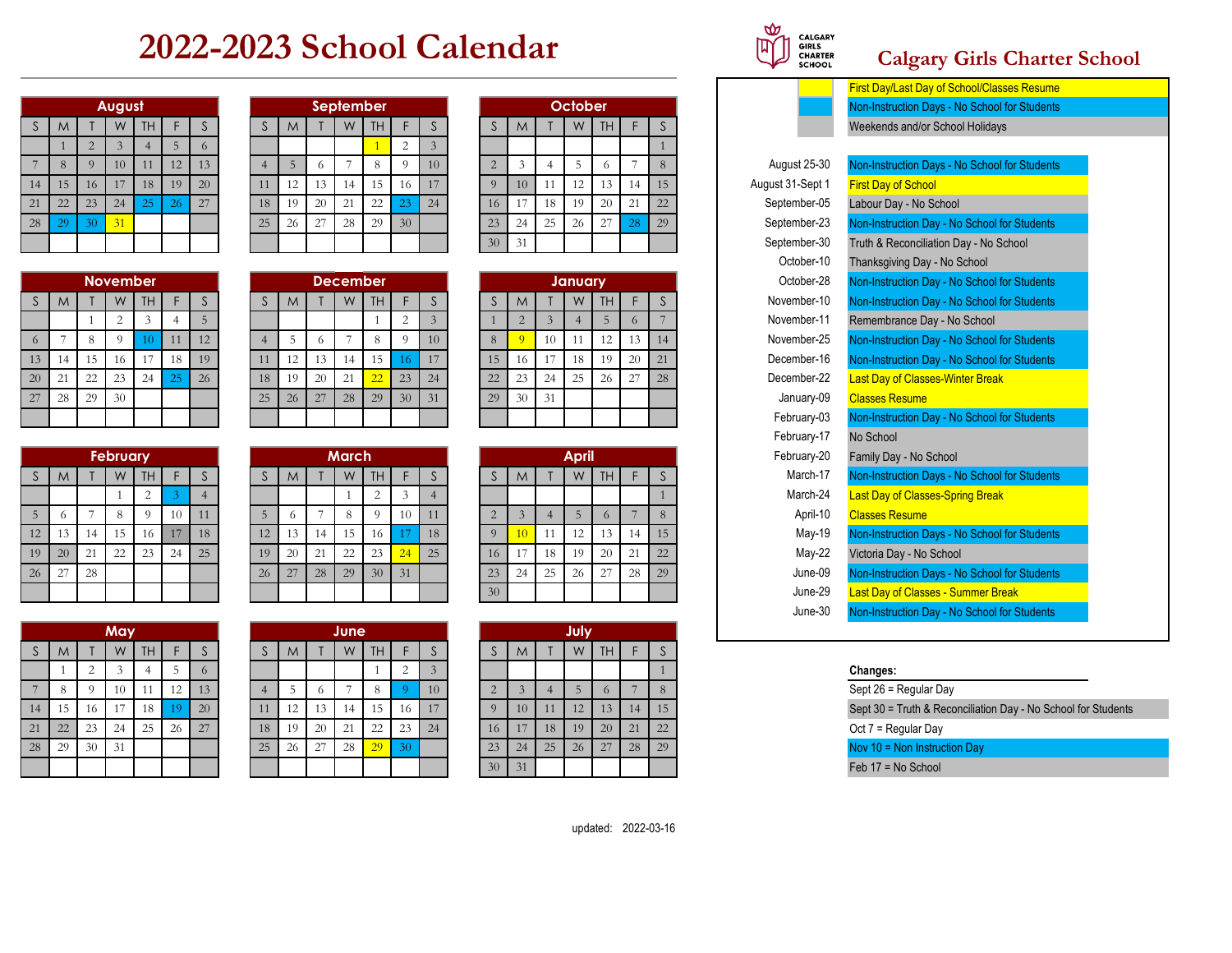## **2022-2023 School Calendar**

|              |    |                | August         |    |    |    |
|--------------|----|----------------|----------------|----|----|----|
| $\mathsf{S}$ | M  |                | W              | TH | F  | S  |
|              | 1  | $\overline{2}$ | $\overline{3}$ |    | 5  | 6  |
| 7            | 8  | 9              | 10             | 11 | 12 | 13 |
| 14           | 15 | 16             | 17             | 18 | 19 | 20 |
| 21           | 22 | 23             | 24             | 25 | 26 | 27 |
| 28           | 29 | 30             | 31             |    |    |    |
|              |    |                |                |    |    |    |

|             |    |    | <b>November</b> |    |    |    |
|-------------|----|----|-----------------|----|----|----|
| $\mathsf S$ | M  |    | W               | TH | F  | S  |
|             |    |    | $\overline{2}$  | 3  |    | 5  |
| 6           | 7  | 8  | 9               | 10 | 11 | 12 |
| 13          | 14 | 15 | 16              | 17 | 18 | 19 |
| 20          | 21 | 22 | 23              | 24 | 25 | 26 |
| 27          | 28 | 29 | 30              |    |    |    |
|             |    |    |                 |    |    |    |

|    |    |    | <b>February</b> |                |    |    |
|----|----|----|-----------------|----------------|----|----|
| S  | M  |    | W               | TH             | F  | S  |
|    |    |    |                 | $\overline{c}$ | 3  |    |
| 5  | 6  | 7  | 8               | 9              | 10 | 11 |
| 12 | 13 | 14 | 15              | 16             | 17 | 18 |
| 19 | 20 | 21 | 22              | 23             | 24 | 25 |
| 26 | 27 | 28 |                 |                |    |    |
|    |    |    |                 |                |    |    |

|             |              |                | May |    |    |             |
|-------------|--------------|----------------|-----|----|----|-------------|
| $\mathsf S$ | $\mathsf{M}$ |                | W   | TH | F  | $\mathsf S$ |
|             | 1            | $\overline{c}$ | 3   | 4  | 5  | 6           |
|             | 8            | 9              | 10  | 11 | 12 | 13          |
| 14          | 15           | 16             | 17  | 18 | 19 | 20          |
| 21          | 22           | 23             | 24  | 25 | 26 | 27          |
| 28          | 29           | 30             | 31  |    |    |             |
|             |              |                |     |    |    |             |

|              |    |     |               |     |    |    |    |    |    |    |                  |    |    |                 |    |    |                |     |     |    |                  | <u>First Day/Last Day of Sc</u> |
|--------------|----|-----|---------------|-----|----|----|----|----|----|----|------------------|----|----|-----------------|----|----|----------------|-----|-----|----|------------------|---------------------------------|
|              |    |     | <b>August</b> |     |    |    |    |    |    |    | <b>September</b> |    |    |                 |    |    | <b>October</b> |     |     |    |                  | <b>Non-Instruction Days - N</b> |
| <sup>S</sup> | M  |     | W             | TH. |    |    |    | M  |    | W  | TH               |    |    |                 | M  |    | W              | TH. |     |    |                  | Weekends and/or Schoo           |
|              |    |     |               |     |    |    |    |    |    |    |                  |    |    |                 |    |    |                |     |     |    |                  |                                 |
|              |    |     | 10            | 11  | 12 | 13 |    |    |    |    |                  |    | 10 |                 |    |    |                |     |     |    | August 25-30     | Non-Instruction Days - N        |
| $14-1$       | 15 | 16  |               | 18  | 19 | 20 |    | 12 | 13 |    | 5                | 16 | 17 |                 | 10 |    | 12             | 13  | 14  | 15 | August 31-Sept 1 | <b>First Day of School</b>      |
| 21           | 22 | 23  | 24            | -25 |    | 27 | 18 | 19 | 20 | 21 | 22               | 23 | 24 | 16              |    | 18 | 19             | 20  | 21  | 22 | September-05     | Labour Day - No School          |
| 28           | 29 | -30 |               |     |    |    | 25 | 26 | 27 | 28 | 29               | 30 |    | 23              | 24 | 25 | 26             | 27  | -28 | 29 | September-23     | Non-Instruction Day - No        |
|              |    |     |               |     |    |    |    |    |    |    |                  |    |    | 30 <sup>1</sup> |    |    |                |     |     |    | Sentember-30     | Truth & Reconciliation D        |

|                |      | <b>November</b> |      |     |    |        |    |     | <b>December</b> |                 |                 |            |    |    |     | January |           |    |    | October-28  | Non-Instruction Day - No School |
|----------------|------|-----------------|------|-----|----|--------|----|-----|-----------------|-----------------|-----------------|------------|----|----|-----|---------|-----------|----|----|-------------|---------------------------------|
| M              |      | W               | TH.  |     |    |        | M  |     | W               | TH <sub>1</sub> |                 |            |    | M  |     | W       | <b>TH</b> |    |    | November-10 | Non-Instruction Day - No School |
|                |      |                 |      |     |    |        |    |     |                 |                 |                 |            |    |    |     |         |           |    |    | November-11 | Remembrance Day - No School     |
| 6 <sup>7</sup> |      |                 |      |     | 12 |        |    |     |                 |                 |                 | 10         |    |    | -10 |         |           |    |    | November-25 | Non-Instruction Day - No School |
| $13-1$<br>- 14 |      | 16              |      | -18 | 19 |        |    |     |                 | .5              |                 |            |    | 16 |     | 18      | -19       | 20 | 21 | December-16 | Non-Instruction Day - No Schoo  |
| $20-1$<br>21   | - 22 | 23 <sup>1</sup> | 24 l | 25  | 26 | 18     | 19 | -20 | 21              |                 | 23              | 24         | 22 |    | 24  | 25      | $-26$     | 27 | 28 | December-22 | Last Day of Classes-Winter Brea |
| 27<br>$-28$    | 29   | 30              |      |     |    | $25 -$ | 26 | 27  | 28              | 29              | 30 <sup>2</sup> | $\vert$ 31 | 29 | 30 | 31  |         |           |    |    | January-09  | <b>Classes Resume</b>           |
|                |      |                 |      |     |    |        |    |     |                 |                 |                 |            |    |    |     |         |           |    |    | February-03 | Non-Instruction Day - No Schoo  |
|                |      |                 |      |     |    |        |    |     |                 |                 |                 |            |    |    |     |         |           |    |    |             |                                 |

|    |    |    | <b>February</b> |    |     |    |    |    |    | <b>March</b> |                 |    |    |                 |    |    | <b>April</b> |           |    |    | February-20 | Family Day - No School          |
|----|----|----|-----------------|----|-----|----|----|----|----|--------------|-----------------|----|----|-----------------|----|----|--------------|-----------|----|----|-------------|---------------------------------|
|    | M  |    | W               | TH |     |    |    | M  |    | W            | TH.             |    |    |                 | M  |    | W            | <b>TH</b> |    |    | March-17    | <b>Non-Instruction Days - N</b> |
|    |    |    |                 |    |     |    |    |    |    |              |                 |    |    |                 |    |    |              |           |    |    | March-24    | <b>Last Day of Classes-Spr</b>  |
|    |    |    |                 |    | -10 | 11 |    |    |    | -8           |                 | 10 |    |                 |    |    |              | $\Omega$  |    |    | April-10    | <b>Classes Resume</b>           |
| 12 | 13 |    | 15              | 16 |     | 18 |    |    | 14 | 15           | 16              |    | 18 |                 |    |    |              |           | 14 | 15 | May-19      | <b>Non-Instruction Days - N</b> |
| 19 | 20 |    | 22              | 23 | -24 | 25 |    | 20 | 21 | 22           | 23              |    | 25 | 16              |    |    | 19           | 20        | 21 | 22 | $Mav-22$    | Victoria Day - No School        |
| 26 | 27 | 28 |                 |    |     |    | 26 | 27 | 28 | 29           | 30 <sup>°</sup> | 31 |    | 23              | 24 | つら | 26           | 27        | 28 | 29 | June-09     | <b>Non-Instruction Days - N</b> |
|    |    |    |                 |    |     |    |    |    |    |              |                 |    |    | 30 <sup>1</sup> |    |    |              |           |    |    | June-29     | Last Day of Classes - Su        |

|    |    |    | May |    |    |    |    |    |    | June |           |             |                 |    |    |    | July |           |    |    |  |
|----|----|----|-----|----|----|----|----|----|----|------|-----------|-------------|-----------------|----|----|----|------|-----------|----|----|--|
|    | M  |    | W   | TH |    |    |    | M  |    | W    | <b>TH</b> |             |                 |    | M  |    | W    | <b>TH</b> |    | ◡  |  |
|    |    |    |     |    |    |    |    |    |    |      |           | $\sim$<br>∠ |                 |    |    |    |      |           |    |    |  |
|    | 8  |    | 10  |    | 12 | 13 |    |    |    |      | ∩         |             | 10 <sup>1</sup> |    |    |    |      |           |    | 8  |  |
|    | 15 | 16 |     | 18 | 19 | 20 | 11 | 12 | 13 | 14   |           | 16          | 17              |    | 10 |    | 12   | 13        | 14 | 15 |  |
|    | 22 | 23 | 24  | 25 | 26 | 27 | 18 | 19 | 20 | 21   | 22        | 23          | 24              | 16 | 17 | 18 | 19   | 20        | 21 | 22 |  |
| :8 | 29 | 30 | 31  |    |    |    | 25 | 26 | 27 | 28   | 29        | 30          |                 | 23 | 24 | 25 | 26   | 27        | 28 | 29 |  |
|    |    |    |     |    |    |    |    |    |    |      |           |             |                 | 30 | 31 |    |      |           |    |    |  |

|                |    |    | October |           |    |    |
|----------------|----|----|---------|-----------|----|----|
| S              | M  |    | W       | <b>TH</b> | F  | S  |
|                |    |    |         |           |    |    |
| $\overline{2}$ | 3  | 4  | 5       | 6         |    | 8  |
| 9              | 10 | 11 | 12      | 13        | 14 | 15 |
| 16             | 17 | 18 | 19      | 20        | 21 | 22 |
| 23             | 24 | 25 | 26      | 27        | 28 | 29 |
| 30             | 31 |    |         |           |    |    |

|    |                |                | <b>January</b> |    |    |    |
|----|----------------|----------------|----------------|----|----|----|
| S  | M              |                | W              | TH | F  | S  |
|    | $\overline{2}$ | $\overline{3}$ | 4              | 5  | 6  |    |
| 8  | 9              | 10             | 11             | 12 | 13 | 14 |
| 15 | 16             | 17             | 18             | 19 | 20 | 21 |
| 22 | 23             | 24             | 25             | 26 | 27 | 28 |
| 29 | 30             | 31             |                |    |    |    |
|    |                |                |                |    |    |    |

|                |                |                | <b>April</b> |    |    |    |
|----------------|----------------|----------------|--------------|----|----|----|
| $\mathsf{S}$   | M              |                | W            | TH | F  | S  |
|                |                |                |              |    |    |    |
| $\overline{2}$ | $\overline{3}$ | $\overline{4}$ | 5            | 6  |    | 8  |
| $\overline{9}$ | 10             | 11             | 12           | 13 | 14 | 15 |
| 16             | 17             | 18             | 19           | 20 | 21 | 22 |
| 23             | 24             | 25             | 26           | 27 | 28 | 29 |
| 30             |                |                |              |    |    |    |

|                |    |                | July |    |    |    |
|----------------|----|----------------|------|----|----|----|
| S              | M  |                | W    | TH | F  | S  |
|                |    |                |      |    |    |    |
| $\overline{2}$ | 3  | $\overline{4}$ | 5    | 6  |    | 8  |
| 9              | 10 | 11             | 12   | 13 | 14 | 15 |
| 16             | 17 | 18             | 19   | 20 | 21 | 22 |
| 23             | 24 | 25             | 26   | 27 | 28 | 29 |
| 30             | 31 |                |      |    |    |    |



## **Calgary Girls Charter School**

|    |                |                |                 |           |    |                |                |    |    |                 |           |                |                |              |                |                |              |           |                 |              |                  | First Day/Last Day of School/Classes Resume   |
|----|----------------|----------------|-----------------|-----------|----|----------------|----------------|----|----|-----------------|-----------|----------------|----------------|--------------|----------------|----------------|--------------|-----------|-----------------|--------------|------------------|-----------------------------------------------|
|    |                |                | August          |           |    |                |                |    |    | September       |           |                |                |              |                |                | October      |           |                 |              |                  | Non-Instruction Days - No School for Students |
|    | M              |                | W               | TH        | F  | <sub>S</sub>   | S              | M  |    | W               | <b>TH</b> | F              | S              | <sub>S</sub> | M              |                | W            | <b>TH</b> | F               | <sub>S</sub> |                  | Weekends and/or School Holidays               |
|    |                | $\overline{2}$ | 3               |           | 5  | 6              |                |    |    |                 |           | $\overline{2}$ | $\overline{3}$ |              |                |                |              |           |                 |              |                  |                                               |
|    | 8              | 9              | 10              | 11        | 12 | 13             | $\overline{4}$ | 5  | 6  | $\overline{7}$  | 8         | 9              | 10             | 2            | 3              | $\overline{4}$ | 5            | 6         | $7\phantom{.0}$ | 8            | August 25-30     | Non-Instruction Days - No School for Students |
| 14 | 15             | 16             | 17              | 18        | 19 | 20             |                | 12 | 13 | 14              | 15        | 16             | 17             | 9            | 10             | 11             | 12           | 13        | 14              | 15           | August 31-Sept 1 | <b>First Day of School</b>                    |
| 21 | 22             | 23             | 24              | 25        | 26 | 27             | 18             | 19 | 20 | 21              | 22        | 23             | 24             | 16           | 17             | 18             | 19           | 20        | 21              | 22           | September-05     | Labour Day - No School                        |
| 28 | 29             | 30             | 31              |           |    |                | 25             | 26 | 27 | 28              | 29        | 30             |                | 23           | 24             | 25             | 26           | 27        | 28              | 29           | September-23     | Non-Instruction Day - No School for Students  |
|    |                |                |                 |           |    |                |                |    |    |                 |           |                |                | 30           | 31             |                |              |           |                 |              | September-30     | Truth & Reconciliation Day - No School        |
|    |                |                |                 |           |    |                |                |    |    |                 |           |                |                |              |                |                |              |           |                 |              | October-10       | Thanksgiving Day - No School                  |
|    |                |                | <b>November</b> |           |    |                |                |    |    | <b>December</b> |           |                |                |              |                |                | January      |           |                 |              | October-28       | Non-Instruction Day - No School for Students  |
| S  | M              |                | W               | <b>TH</b> | F  | <sub>S</sub>   | S              | M  |    | W               | <b>TH</b> | F              | S              | S            | M              |                | W            | <b>TH</b> | F               | $\mathsf{S}$ | November-10      | Non-Instruction Day - No School for Students  |
|    |                |                | 2               | 3         |    | $\overline{5}$ |                |    |    |                 |           | $\overline{2}$ | $\overline{3}$ |              | $\sqrt{2}$     | $\mathfrak{Z}$ |              | 5         | 6               |              | November-11      | Remembrance Day - No School                   |
| 6  | $\overline{7}$ | 8              | $\Omega$        | 10        | 11 | 12             | $\overline{4}$ | 5  | 6  | $\overline{7}$  | 8         | $\overline{Q}$ | 10             | 8            | $\overline{9}$ | 10             | 11           | 12        | 13              | 14           | November-25      | Non-Instruction Day - No School for Students  |
| 13 | 14             | 15             | 16              | 17        | 18 | 19             | 11             | 12 | 13 | 14              | 15        | 16             | 17             | 15           | 16             | 17             | 18           | 19        | 20              | 21           | December-16      | Non-Instruction Day - No School for Students  |
| 20 | 21             | 22             | 23              | 24        | 25 | 26             | 18             | 19 | 20 | 21              | 22        | 23             | 24             | 22           | 23             | 24             | 25           | 26        | 27              | 28           | December-22      | <b>Last Day of Classes-Winter Break</b>       |
| 27 | 28             | 29             | 30              |           |    |                | 25             | 26 | 27 | 28              | 29        | 30             | 31             | 29           | 30             | 31             |              |           |                 |              | January-09       | <b>Classes Resume</b>                         |
|    |                |                |                 |           |    |                |                |    |    |                 |           |                |                |              |                |                |              |           |                 |              | February-03      | Non-Instruction Day - No School for Students  |
|    |                |                |                 |           |    |                |                |    |    |                 |           |                |                |              |                |                |              |           |                 |              | February-17      | No School                                     |
|    |                |                | <b>February</b> |           |    |                |                |    |    | <b>March</b>    |           |                |                |              |                |                | <b>April</b> |           |                 |              | February-20      | Family Day - No School                        |
| S  | M              |                | W               | TH.       | F. | S              | S              | M  |    | W               | TH        | F              | $\mathsf{S}$   | S            | M              |                | W            | TH        | F               | $\mathsf S$  | March-17         | Non-Instruction Days - No School for Students |
|    |                |                |                 | 2         |    |                |                |    |    |                 | 2         | $\overline{3}$ | $\overline{4}$ |              |                |                |              |           |                 |              | March-24         | Last Day of Classes-Spring Break              |
|    | 6              |                | 8               | 9         | 10 |                | 5              | 6  |    | 8               | 9         | 10             | 11             | $\sqrt{2}$   | $\mathfrak{Z}$ | $\overline{4}$ | 5            | 6         | 7               | 8            | April-10         | <b>Classes Resume</b>                         |
| 12 | 13             | 14             | 15              | 16        | 17 | 18             | 12             | 13 | 14 | 15              | 16        | 17             | 18             | 9            | 10             | 11             | 12           | 13        | 14              | 15           | May-19           | Non-Instruction Days - No School for Students |
| 19 | 20             | 21             | 22              | 23        | 24 | 25             | 19             | 20 | 21 | 22              | 23        | 24             | 25             | 16           | 17             | 18             | 19           | 20        | 21              | 22           | $May-22$         | Victoria Day - No School                      |
| 26 | 27             | 28             |                 |           |    |                | 26             | 27 | 28 | 29              | 30        | 31             |                | 23           | 24             | 25             | 26           | 27        | 28              | 29           | June-09          | Non-Instruction Days - No School for Students |
|    |                |                |                 |           |    |                |                |    |    |                 |           |                |                | 30           |                |                |              |           |                 |              | June-29          | <b>Last Day of Classes - Summer Break</b>     |
|    |                |                |                 |           |    |                |                |    |    |                 |           |                |                |              |                |                |              |           |                 |              | June-30          | Non-Instruction Day - No School for Students  |

 $\overline{26}$  = Regular Day Sept 30 = Truth & Reconciliation Day - No School for Students Oct 7 = Regular Day Nov 10 = Non Instruction Day Feb 17 = No School